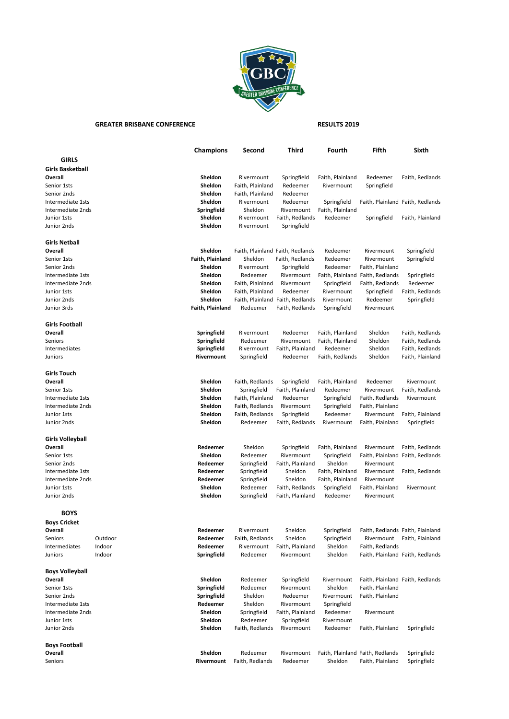

## GREATER BRISBANE CONFERENCE **RESULTS 2019**

|                         |         | <b>Champions</b> | Second           | Third                            | Fourth           | Fifth                            | Sixth                            |
|-------------------------|---------|------------------|------------------|----------------------------------|------------------|----------------------------------|----------------------------------|
| GIRLS                   |         |                  |                  |                                  |                  |                                  |                                  |
| <b>Girls Basketball</b> |         |                  |                  |                                  |                  |                                  |                                  |
| Overall                 |         | Sheldon          | Rivermount       | Springfield                      | Faith, Plainland | Redeemer                         | Faith, Redlands                  |
| Senior 1sts             |         | Sheldon          | Faith, Plainland | Redeemer                         | Rivermount       | Springfield                      |                                  |
| Senior 2nds             |         | Sheldon          | Faith, Plainland | Redeemer                         |                  |                                  |                                  |
|                         |         | Sheldon          | Rivermount       |                                  |                  |                                  |                                  |
| Intermediate 1sts       |         |                  |                  | Redeemer                         | Springfield      |                                  | Faith, Plainland Faith, Redlands |
| Intermediate 2nds       |         | Springfield      | Sheldon          | Rivermount                       | Faith, Plainland |                                  |                                  |
| Junior 1sts             |         | Sheldon          | Rivermount       | Faith, Redlands                  | Redeemer         | Springfield                      | Faith, Plainland                 |
| Junior 2nds             |         | Sheldon          | Rivermount       | Springfield                      |                  |                                  |                                  |
| <b>Girls Netball</b>    |         |                  |                  |                                  |                  |                                  |                                  |
| Overall                 |         | Sheldon          |                  | Faith, Plainland Faith, Redlands | Redeemer         | Rivermount                       | Springfield                      |
| Senior 1sts             |         | Faith, Plainland | Sheldon          | Faith, Redlands                  | Redeemer         | Rivermount                       | Springfield                      |
| Senior 2nds             |         | Sheldon          | Rivermount       | Springfield                      | Redeemer         | Faith, Plainland                 |                                  |
| Intermediate 1sts       |         | Sheldon          | Redeemer         | Rivermount                       |                  | Faith, Plainland Faith, Redlands | Springfield                      |
| Intermediate 2nds       |         | Sheldon          | Faith, Plainland | Rivermount                       | Springfield      | Faith, Redlands                  | Redeemer                         |
| Junior 1sts             |         | Sheldon          | Faith, Plainland | Redeemer                         | Rivermount       | Springfield                      | Faith, Redlands                  |
| Junior 2nds             |         | Sheldon          | Faith, Plainland | Faith, Redlands                  | Rivermount       | Redeemer                         | Springfield                      |
| Junior 3rds             |         | Faith, Plainland | Redeemer         | Faith, Redlands                  | Springfield      | Rivermount                       |                                  |
|                         |         |                  |                  |                                  |                  |                                  |                                  |
| Girls Football          |         |                  |                  |                                  |                  |                                  |                                  |
| Overall                 |         | Springfield      | Rivermount       | Redeemer                         | Faith, Plainland | Sheldon                          | Faith, Redlands                  |
| Seniors                 |         | Springfield      | Redeemer         | Rivermount                       | Faith, Plainland | Sheldon                          | Faith, Redlands                  |
| Intermediates           |         | Springfield      | Rivermount       | Faith, Plainland                 | Redeemer         | Sheldon                          | Faith, Redlands                  |
| Juniors                 |         | Rivermount       | Springfield      | Redeemer                         | Faith, Redlands  | Sheldon                          | Faith, Plainland                 |
|                         |         |                  |                  |                                  |                  |                                  |                                  |
| Girls Touch             |         |                  |                  |                                  |                  |                                  |                                  |
| Overall                 |         | Sheldon          | Faith, Redlands  | Springfield                      | Faith, Plainland | Redeemer                         | Rivermount                       |
| Senior 1sts             |         | Sheldon          | Springfield      | Faith, Plainland                 | Redeemer         | Rivermount                       | Faith, Redlands                  |
| Intermediate 1sts       |         | Sheldon          | Faith, Plainland | Redeemer                         | Springfield      | Faith, Redlands                  | Rivermount                       |
| Intermediate 2nds       |         | Sheldon          | Faith, Redlands  | Rivermount                       | Springfield      | Faith, Plainland                 |                                  |
| Junior 1sts             |         | Sheldon          | Faith, Redlands  | Springfield                      | Redeemer         | Rivermount                       | Faith, Plainland                 |
| Junior 2nds             |         | Sheldon          | Redeemer         | Faith, Redlands                  | Rivermount       | Faith, Plainland                 | Springfield                      |
| Girls Volleyball        |         |                  |                  |                                  |                  |                                  |                                  |
| Overall                 |         | Redeemer         | Sheldon          | Springfield                      | Faith, Plainland | Rivermount                       | Faith, Redlands                  |
| Senior 1sts             |         | Sheldon          | Redeemer         | Rivermount                       | Springfield      |                                  | Faith, Plainland Faith, Redlands |
| Senior 2nds             |         | Redeemer         | Springfield      | Faith, Plainland                 | Sheldon          | Rivermount                       |                                  |
| Intermediate 1sts       |         | Redeemer         | Springfield      | Sheldon                          | Faith, Plainland | Rivermount                       | Faith, Redlands                  |
| Intermediate 2nds       |         | Redeemer         | Springfield      | Sheldon                          | Faith, Plainland | Rivermount                       |                                  |
| Junior 1sts             |         | Sheldon          | Redeemer         | Faith, Redlands                  |                  |                                  | Rivermount                       |
|                         |         |                  |                  |                                  | Springfield      | Faith, Plainland                 |                                  |
| Junior 2nds             |         | Sheldon          | Springfield      | Faith, Plainland                 | Redeemer         | Rivermount                       |                                  |
| <b>BOYS</b>             |         |                  |                  |                                  |                  |                                  |                                  |
| <b>Boys Cricket</b>     |         |                  |                  |                                  |                  |                                  |                                  |
| Overall                 |         | Redeemer         | Rivermount       | Sheldon                          | Springfield      |                                  | Faith, Redlands Faith, Plainland |
| Seniors                 | Outdoor | Redeemer         | Faith, Redlands  | Sheldon                          | Springfield      |                                  | Rivermount Faith, Plainland      |
| Intermediates           | Indoor  | Redeemer         | Rivermount       | Faith, Plainland                 | Sheldon          | Faith, Redlands                  |                                  |
| Juniors                 | Indoor  | Springfield      | Redeemer         | Rivermount                       | Sheldon          |                                  | Faith, Plainland Faith, Redlands |
|                         |         |                  |                  |                                  |                  |                                  |                                  |
| Boys Volleyball         |         |                  |                  |                                  |                  |                                  |                                  |
| Overall                 |         | Sheldon          | Redeemer         | Springfield                      | Rivermount       |                                  | Faith, Plainland Faith, Redlands |
| Senior 1sts             |         | Springfield      | Redeemer         | Rivermount                       | Sheldon          | Faith, Plainland                 |                                  |
| Senior 2nds             |         | Springfield      | Sheldon          | Redeemer                         | Rivermount       | Faith, Plainland                 |                                  |
| Intermediate 1sts       |         | Redeemer         | Sheldon          | Rivermount                       | Springfield      |                                  |                                  |
| Intermediate 2nds       |         | Sheldon          | Springfield      | Faith, Plainland                 | Redeemer         | Rivermount                       |                                  |
| Junior 1sts             |         | Sheldon          | Redeemer         | Springfield                      | Rivermount       |                                  |                                  |
| Junior 2nds             |         | Sheldon          | Faith, Redlands  | Rivermount                       | Redeemer         | Faith, Plainland                 | Springfield                      |
| <b>Boys Football</b>    |         |                  |                  |                                  |                  |                                  |                                  |
| Overall                 |         | Sheldon          | Redeemer         | Rivermount                       |                  | Faith, Plainland Faith, Redlands | Springfield                      |
| Seniors                 |         | Rivermount       | Faith, Redlands  | Redeemer                         | Sheldon          | Faith, Plainland                 | Springfield                      |
|                         |         |                  |                  |                                  |                  |                                  |                                  |